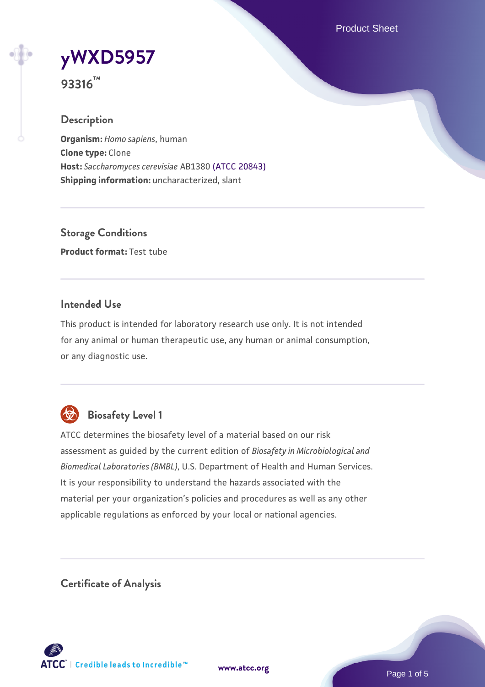Product Sheet



**93316™**

### **Description**

**Organism:** *Homo sapiens*, human **Clone type:** Clone **Host:** *Saccharomyces cerevisiae* AB1380 [\(ATCC 20843\)](https://www.atcc.org/products/20843) **Shipping information:** uncharacterized, slant

**Storage Conditions Product format:** Test tube

### **Intended Use**

This product is intended for laboratory research use only. It is not intended for any animal or human therapeutic use, any human or animal consumption, or any diagnostic use.



# **Biosafety Level 1**

ATCC determines the biosafety level of a material based on our risk assessment as guided by the current edition of *Biosafety in Microbiological and Biomedical Laboratories (BMBL)*, U.S. Department of Health and Human Services. It is your responsibility to understand the hazards associated with the material per your organization's policies and procedures as well as any other applicable regulations as enforced by your local or national agencies.

**Certificate of Analysis**

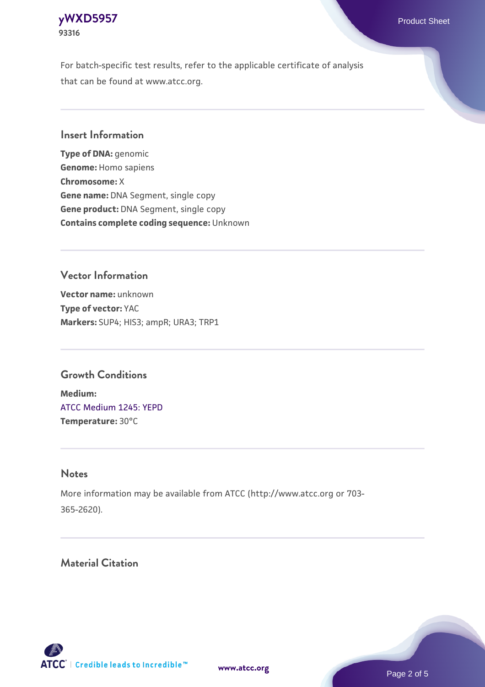### **[yWXD5957](https://www.atcc.org/products/93316)** Product Sheet **93316**

For batch-specific test results, refer to the applicable certificate of analysis that can be found at www.atcc.org.

### **Insert Information**

**Type of DNA:** genomic **Genome:** Homo sapiens **Chromosome:** X **Gene name:** DNA Segment, single copy **Gene product:** DNA Segment, single copy **Contains complete coding sequence:** Unknown

## **Vector Information**

**Vector name:** unknown **Type of vector:** YAC **Markers:** SUP4; HIS3; ampR; URA3; TRP1

## **Growth Conditions**

**Medium:**  [ATCC Medium 1245: YEPD](https://www.atcc.org/-/media/product-assets/documents/microbial-media-formulations/1/2/4/5/atcc-medium-1245.pdf?rev=705ca55d1b6f490a808a965d5c072196) **Temperature:** 30°C

#### **Notes**

More information may be available from ATCC (http://www.atcc.org or 703- 365-2620).

## **Material Citation**



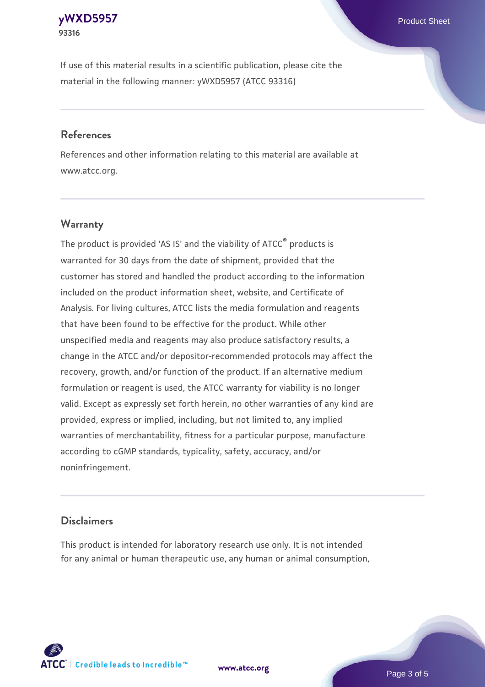#### **[yWXD5957](https://www.atcc.org/products/93316)** Product Sheet **93316**

If use of this material results in a scientific publication, please cite the material in the following manner: yWXD5957 (ATCC 93316)

### **References**

References and other information relating to this material are available at www.atcc.org.

## **Warranty**

The product is provided 'AS IS' and the viability of  $ATCC<sup>®</sup>$  products is warranted for 30 days from the date of shipment, provided that the customer has stored and handled the product according to the information included on the product information sheet, website, and Certificate of Analysis. For living cultures, ATCC lists the media formulation and reagents that have been found to be effective for the product. While other unspecified media and reagents may also produce satisfactory results, a change in the ATCC and/or depositor-recommended protocols may affect the recovery, growth, and/or function of the product. If an alternative medium formulation or reagent is used, the ATCC warranty for viability is no longer valid. Except as expressly set forth herein, no other warranties of any kind are provided, express or implied, including, but not limited to, any implied warranties of merchantability, fitness for a particular purpose, manufacture according to cGMP standards, typicality, safety, accuracy, and/or noninfringement.

#### **Disclaimers**

This product is intended for laboratory research use only. It is not intended for any animal or human therapeutic use, any human or animal consumption,



Page 3 of 5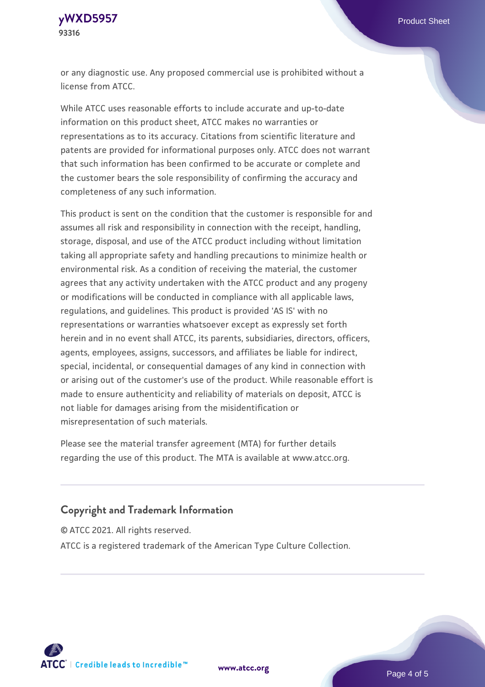**[yWXD5957](https://www.atcc.org/products/93316)** Product Sheet **93316**

or any diagnostic use. Any proposed commercial use is prohibited without a license from ATCC.

While ATCC uses reasonable efforts to include accurate and up-to-date information on this product sheet, ATCC makes no warranties or representations as to its accuracy. Citations from scientific literature and patents are provided for informational purposes only. ATCC does not warrant that such information has been confirmed to be accurate or complete and the customer bears the sole responsibility of confirming the accuracy and completeness of any such information.

This product is sent on the condition that the customer is responsible for and assumes all risk and responsibility in connection with the receipt, handling, storage, disposal, and use of the ATCC product including without limitation taking all appropriate safety and handling precautions to minimize health or environmental risk. As a condition of receiving the material, the customer agrees that any activity undertaken with the ATCC product and any progeny or modifications will be conducted in compliance with all applicable laws, regulations, and guidelines. This product is provided 'AS IS' with no representations or warranties whatsoever except as expressly set forth herein and in no event shall ATCC, its parents, subsidiaries, directors, officers, agents, employees, assigns, successors, and affiliates be liable for indirect, special, incidental, or consequential damages of any kind in connection with or arising out of the customer's use of the product. While reasonable effort is made to ensure authenticity and reliability of materials on deposit, ATCC is not liable for damages arising from the misidentification or misrepresentation of such materials.

Please see the material transfer agreement (MTA) for further details regarding the use of this product. The MTA is available at www.atcc.org.

#### **Copyright and Trademark Information**

© ATCC 2021. All rights reserved.

ATCC is a registered trademark of the American Type Culture Collection.